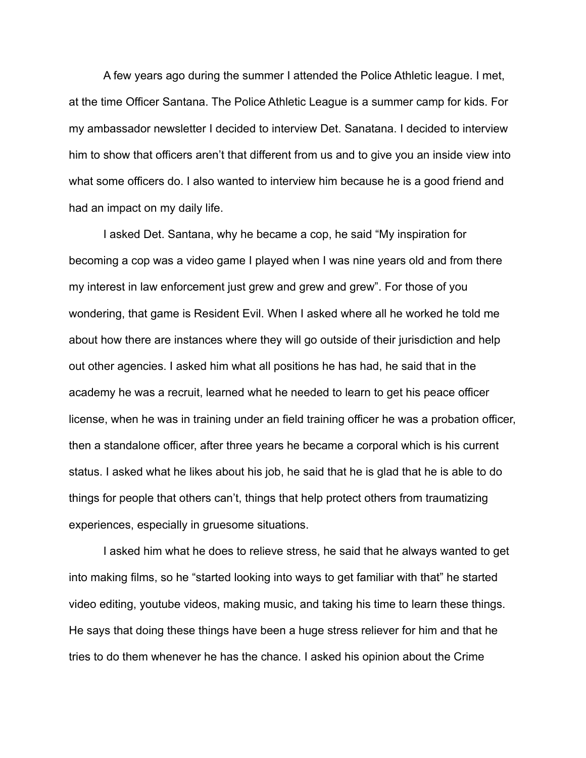A few years ago during the summer I attended the Police Athletic league. I met, at the time Officer Santana. The Police Athletic League is a summer camp for kids. For my ambassador newsletter I decided to interview Det. Sanatana. I decided to interview him to show that officers aren't that different from us and to give you an inside view into what some officers do. I also wanted to interview him because he is a good friend and had an impact on my daily life.

I asked Det. Santana, why he became a cop, he said "My inspiration for becoming a cop was a video game I played when I was nine years old and from there my interest in law enforcement just grew and grew and grew". For those of you wondering, that game is Resident Evil. When I asked where all he worked he told me about how there are instances where they will go outside of their jurisdiction and help out other agencies. I asked him what all positions he has had, he said that in the academy he was a recruit, learned what he needed to learn to get his peace officer license, when he was in training under an field training officer he was a probation officer, then a standalone officer, after three years he became a corporal which is his current status. I asked what he likes about his job, he said that he is glad that he is able to do things for people that others can't, things that help protect others from traumatizing experiences, especially in gruesome situations.

I asked him what he does to relieve stress, he said that he always wanted to get into making films, so he "started looking into ways to get familiar with that" he started video editing, youtube videos, making music, and taking his time to learn these things. He says that doing these things have been a huge stress reliever for him and that he tries to do them whenever he has the chance. I asked his opinion about the Crime